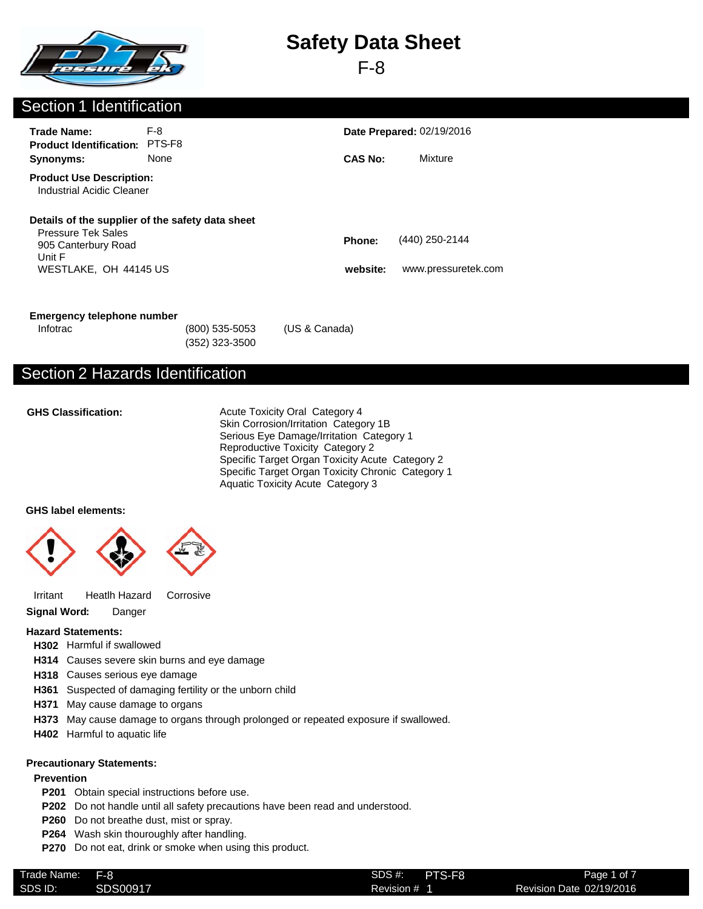

F-8

### Section 1 Identification

| <b>Trade Name:</b><br><b>Product Identification:</b>                                                                                    | F-8<br>PTS-F8 |                    | <b>Date Prepared: 02/19/2016</b>      |
|-----------------------------------------------------------------------------------------------------------------------------------------|---------------|--------------------|---------------------------------------|
| Synonyms:                                                                                                                               | None          | <b>CAS No:</b>     | Mixture                               |
| <b>Product Use Description:</b><br>Industrial Acidic Cleaner                                                                            |               |                    |                                       |
| Details of the supplier of the safety data sheet<br><b>Pressure Tek Sales</b><br>905 Canterbury Road<br>Unit F<br>WESTLAKE. OH 44145 US |               | Phone:<br>website: | (440) 250-2144<br>www.pressuretek.com |

#### **Emergency telephone number**

(352) 323-3500 Infotrac (800) 535-5053 (US & Canada)

## Section 2 Hazards Identification

#### **GHS Classification:**

Acute Toxicity Oral Category 4 Skin Corrosion/Irritation Category 1B Serious Eye Damage/Irritation Category 1 Reproductive Toxicity Category 2 Specific Target Organ Toxicity Acute Category 2 Specific Target Organ Toxicity Chronic Category 1 Aquatic Toxicity Acute Category 3

#### **GHS label elements:**



Irritant Heatlh Hazard Corrosive

**Signal Word:** Danger

#### **Hazard Statements:**

- **H302** Harmful if swallowed
- **H314** Causes severe skin burns and eye damage
- **H318** Causes serious eye damage
- **H361** Suspected of damaging fertility or the unborn child
- **H371** May cause damage to organs
- **H373** May cause damage to organs through prolonged or repeated exposure if swallowed.
- **H402** Harmful to aquatic life

#### **Precautionary Statements:**

#### **Prevention**

- **P201** Obtain special instructions before use.
- **P202** Do not handle until all safety precautions have been read and understood.
- **P260** Do not breathe dust, mist or spray.
- **P264** Wash skin thouroughly after handling.
- **P270** Do not eat, drink or smoke when using this product.

| $\sim$<br>Trade Name: | F-8      | SDS #:<br>PTS-F8 |       |
|-----------------------|----------|------------------|-------|
| SDS ID:               | SDS00917 | Revision #       | Revis |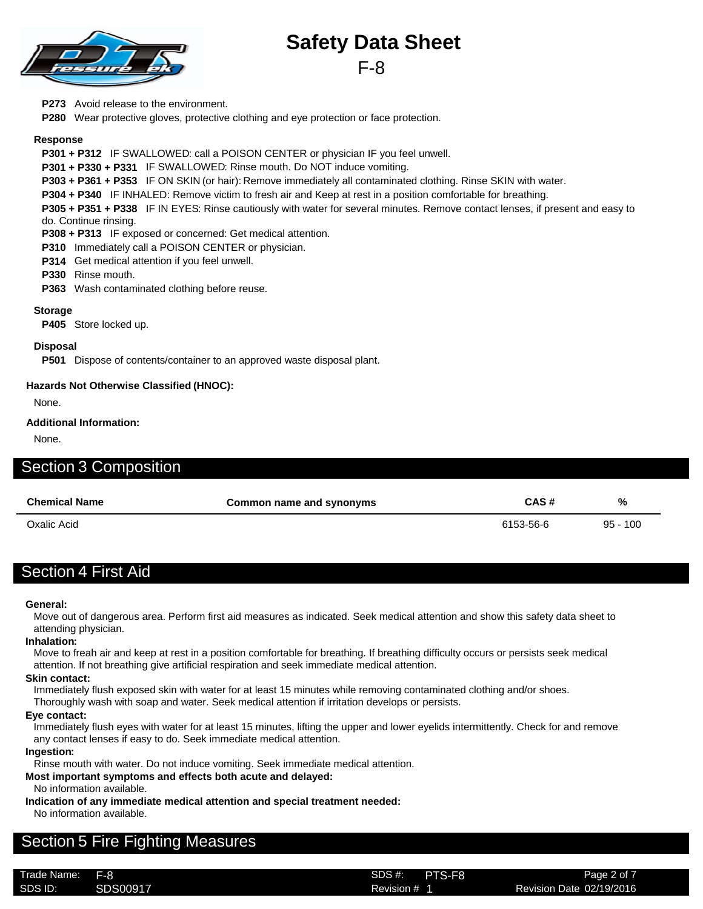

**P273** Avoid release to the environment.

**P280** Wear protective gloves, protective clothing and eye protection or face protection.

#### **Response**

**P301 + P312** IF SWALLOWED: call a POISON CENTER or physician IF you feel unwell.

**P301 + P330 + P331** IF SWALLOWED: Rinse mouth. Do NOT induce vomiting.

**P303 + P361 + P353** IF ON SKIN (or hair): Remove immediately all contaminated clothing. Rinse SKIN with water.

**P304 + P340** IF INHALED: Remove victim to fresh air and Keep at rest in a position comfortable for breathing.

**P305 + P351 + P338** IF IN EYES: Rinse cautiously with water for several minutes. Remove contact lenses, if present and easy to do. Continue rinsing.

**P308 + P313** IF exposed or concerned: Get medical attention.

**P310** Immediately call a POISON CENTER or physician.

**P314** Get medical attention if you feel unwell.

**P330** Rinse mouth.

**P363** Wash contaminated clothing before reuse.

#### **Storage**

**P405** Store locked up.

#### **Disposal**

**P501** Dispose of contents/container to an approved waste disposal plant.

#### **Hazards Not Otherwise Classified (HNOC):**

None.

#### **Additional Information:**

None.

### Section 3 Composition

| <b>Chemical Name</b> | Common name and synonyms | CAS#      | %          |
|----------------------|--------------------------|-----------|------------|
| Oxalic Acid          |                          | 6153-56-6 | $95 - 100$ |

## Section 4 First Aid

#### **General:**

Move out of dangerous area. Perform first aid measures as indicated. Seek medical attention and show this safety data sheet to attending physician.

#### **Inhalation:**

Move to freah air and keep at rest in a position comfortable for breathing. If breathing difficulty occurs or persists seek medical attention. If not breathing give artificial respiration and seek immediate medical attention.

#### **Skin contact:**

Immediately flush exposed skin with water for at least 15 minutes while removing contaminated clothing and/or shoes.

Thoroughly wash with soap and water. Seek medical attention if irritation develops or persists.

### **Eye contact:**

Immediately flush eyes with water for at least 15 minutes, lifting the upper and lower eyelids intermittently. Check for and remove any contact lenses if easy to do. Seek immediate medical attention.

#### **Ingestion:**

Rinse mouth with water. Do not induce vomiting. Seek immediate medical attention.

**Most important symptoms and effects both acute and delayed:**

No information available.

**Indication of any immediate medical attention and special treatment needed:** No information available.

## Section 5 Fire Fighting Measures

Trade Name: SDS #: SDS ID: SDS00917 SDS00917 Revision # 1 Revision 2/19/2016

Revision # 1 F-8 SDS #: PTS-F8

Page 2 of 7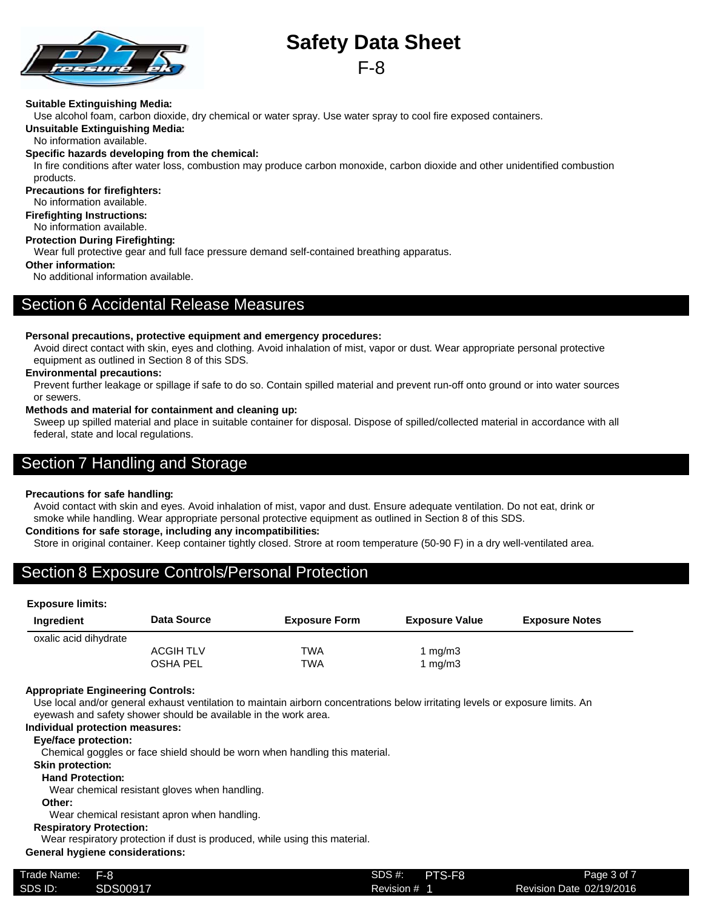

F-8

#### **Suitable Extinguishing Media:**

Use alcohol foam, carbon dioxide, dry chemical or water spray. Use water spray to cool fire exposed containers.

**Unsuitable Extinguishing Media:**

No information available.

#### **Specific hazards developing from the chemical:**

In fire conditions after water loss, combustion may produce carbon monoxide, carbon dioxide and other unidentified combustion products.

**Precautions for firefighters:**

- No information available.
- **Firefighting Instructions:**

No information available.

#### **Protection During Firefighting:**

Wear full protective gear and full face pressure demand self-contained breathing apparatus.

#### **Other information:**

No additional information available.

### Section 6 Accidental Release Measures

#### **Personal precautions, protective equipment and emergency procedures:**

Avoid direct contact with skin, eyes and clothing. Avoid inhalation of mist, vapor or dust. Wear appropriate personal protective equipment as outlined in Section 8 of this SDS.

#### **Environmental precautions:**

Prevent further leakage or spillage if safe to do so. Contain spilled material and prevent run-off onto ground or into water sources or sewers.

#### **Methods and material for containment and cleaning up:**

Sweep up spilled material and place in suitable container for disposal. Dispose of spilled/collected material in accordance with all federal, state and local regulations.

## Section 7 Handling and Storage

#### **Precautions for safe handling:**

Avoid contact with skin and eyes. Avoid inhalation of mist, vapor and dust. Ensure adequate ventilation. Do not eat, drink or smoke while handling. Wear appropriate personal protective equipment as outlined in Section 8 of this SDS.

#### **Conditions for safe storage, including any incompatibilities:**

Store in original container. Keep container tightly closed. Strore at room temperature (50-90 F) in a dry well-ventilated area.

## Section 8 Exposure Controls/Personal Protection

#### **Exposure limits:**

| Ingredient            | Data Source      | <b>Exposure Form</b> | <b>Exposure Value</b> | <b>Exposure Notes</b> |
|-----------------------|------------------|----------------------|-----------------------|-----------------------|
| oxalic acid dihydrate |                  |                      |                       |                       |
|                       | <b>ACGIH TLV</b> | TWA                  | 1 mg/m3               |                       |
|                       | <b>OSHA PEL</b>  | TWA                  | 1 mg/m3               |                       |

#### **Appropriate Engineering Controls:**

Use local and/or general exhaust ventilation to maintain airborn concentrations below irritating levels or exposure limits. An eyewash and safety shower should be available in the work area.

#### **Individual protection measures:**

#### **Eye/face protection:**

Chemical goggles or face shield should be worn when handling this material.

#### **Skin protection:**

#### **Hand Protection:**

Wear chemical resistant gloves when handling.

#### **Other:**

Wear chemical resistant apron when handling.

#### **Respiratory Protection:**

Wear respiratory protection if dust is produced, while using this material.

#### **General hygiene considerations:**

| Trade Name: | - F-8    | SDS #:<br>PTS-F8 | Page 3 of 7              |
|-------------|----------|------------------|--------------------------|
| SDS ID:     | SDS00917 | Revision #       | Revision Date 02/19/2016 |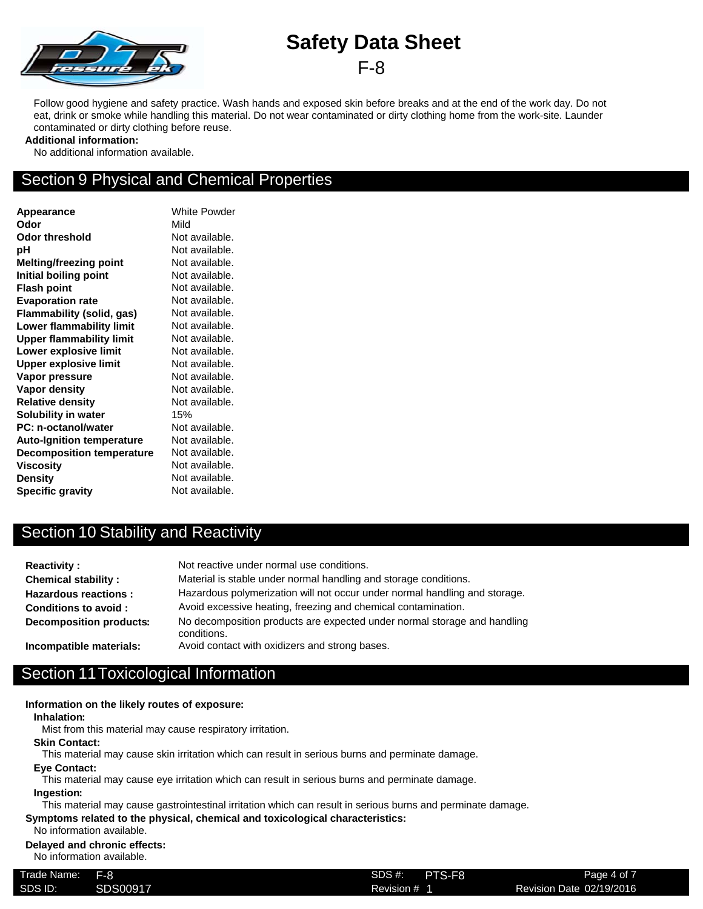

Follow good hygiene and safety practice. Wash hands and exposed skin before breaks and at the end of the work day. Do not eat, drink or smoke while handling this material. Do not wear contaminated or dirty clothing home from the work-site. Launder contaminated or dirty clothing before reuse.

#### **Additional information:**

No additional information available.

## Section 9 Physical and Chemical Properties

**Appearance** White Powder **Odor** Mild **Odor threshold** Not available. **pH** Not available. **Melting/freezing point** Not available. **Initial boiling point** Not available. **Flash point** Not available. **Evaporation rate** Not available. **Flammability (solid, gas)** Not available. **Lower flammability limit** Not available. **Upper flammability limit** Not available. **Lower explosive limit** Not available. **Upper explosive limit** Not available. **Vapor pressure** Not available. **Vapor density** Not available. **Relative density** Not available. **Solubility in water** 15% **PC: n-octanol/water** Not available. Auto-Ignition temperature Not available. **Decomposition temperature** Not available. **Viscosity** Not available. **Density** Not available. **Specific gravity** Not available.

## Section 10 Stability and Reactivity

| <b>Reactivity:</b>          | Not reactive under normal use conditions.                                               |
|-----------------------------|-----------------------------------------------------------------------------------------|
| <b>Chemical stability:</b>  | Material is stable under normal handling and storage conditions.                        |
| <b>Hazardous reactions:</b> | Hazardous polymerization will not occur under normal handling and storage.              |
| Conditions to avoid:        | Avoid excessive heating, freezing and chemical contamination.                           |
| Decomposition products:     | No decomposition products are expected under normal storage and handling<br>conditions. |
| Incompatible materials:     | Avoid contact with oxidizers and strong bases.                                          |

## Section 11Toxicological Information

#### **Information on the likely routes of exposure:**

**Inhalation:**

Mist from this material may cause respiratory irritation.

#### **Skin Contact:**

This material may cause skin irritation which can result in serious burns and perminate damage.

#### **Eye Contact:**

This material may cause eye irritation which can result in serious burns and perminate damage.

#### **Ingestion:**

This material may cause gastrointestinal irritation which can result in serious burns and perminate damage.

**Symptoms related to the physical, chemical and toxicological characteristics:**

#### No information available. **Delayed and chronic effects:**

No information available.

| Trade Name: | $F-8$    | PTS-F8<br>SDS #: | Page 4 of 7              |
|-------------|----------|------------------|--------------------------|
| SDS ID:     | SDS00917 | Revision # 1     | Revision Date 02/19/2016 |
|             |          |                  |                          |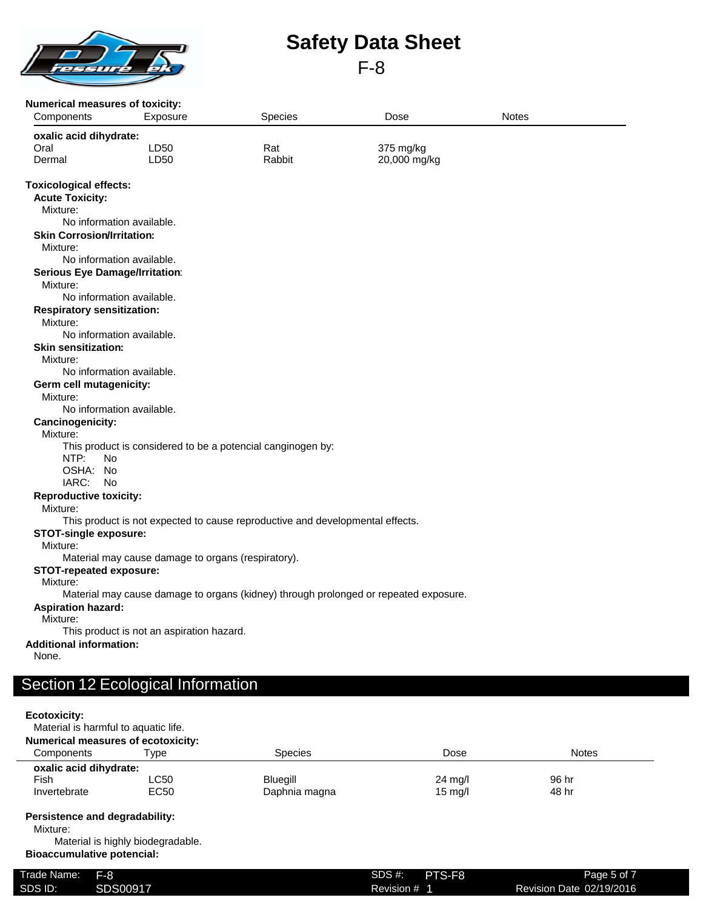

#### **Numerical measures of toxicity:**

| Turnonoan moasaros or toxiony.<br>Components | Exposure                                           | Species                                                                       | Dose                                                                                 | <b>Notes</b> |  |
|----------------------------------------------|----------------------------------------------------|-------------------------------------------------------------------------------|--------------------------------------------------------------------------------------|--------------|--|
| oxalic acid dihydrate:                       |                                                    |                                                                               |                                                                                      |              |  |
| Oral                                         | LD <sub>50</sub>                                   | Rat                                                                           | 375 mg/kg                                                                            |              |  |
| Dermal                                       | LD50                                               | Rabbit                                                                        | 20,000 mg/kg                                                                         |              |  |
| <b>Toxicological effects:</b>                |                                                    |                                                                               |                                                                                      |              |  |
| <b>Acute Toxicity:</b>                       |                                                    |                                                                               |                                                                                      |              |  |
| Mixture:                                     |                                                    |                                                                               |                                                                                      |              |  |
|                                              | No information available.                          |                                                                               |                                                                                      |              |  |
| <b>Skin Corrosion/Irritation:</b>            |                                                    |                                                                               |                                                                                      |              |  |
| Mixture:                                     |                                                    |                                                                               |                                                                                      |              |  |
|                                              | No information available.                          |                                                                               |                                                                                      |              |  |
| <b>Serious Eye Damage/Irritation:</b>        |                                                    |                                                                               |                                                                                      |              |  |
| Mixture:                                     |                                                    |                                                                               |                                                                                      |              |  |
|                                              | No information available.                          |                                                                               |                                                                                      |              |  |
| <b>Respiratory sensitization:</b>            |                                                    |                                                                               |                                                                                      |              |  |
| Mixture:                                     |                                                    |                                                                               |                                                                                      |              |  |
|                                              | No information available.                          |                                                                               |                                                                                      |              |  |
| <b>Skin sensitization:</b>                   |                                                    |                                                                               |                                                                                      |              |  |
| Mixture:                                     |                                                    |                                                                               |                                                                                      |              |  |
|                                              | No information available.                          |                                                                               |                                                                                      |              |  |
| Germ cell mutagenicity:                      |                                                    |                                                                               |                                                                                      |              |  |
| Mixture:                                     | No information available.                          |                                                                               |                                                                                      |              |  |
| Cancinogenicity:                             |                                                    |                                                                               |                                                                                      |              |  |
| Mixture:                                     |                                                    |                                                                               |                                                                                      |              |  |
|                                              |                                                    | This product is considered to be a potencial canginogen by:                   |                                                                                      |              |  |
| NTP:<br>No                                   |                                                    |                                                                               |                                                                                      |              |  |
| OSHA: No                                     |                                                    |                                                                               |                                                                                      |              |  |
| IARC:<br>No                                  |                                                    |                                                                               |                                                                                      |              |  |
| <b>Reproductive toxicity:</b>                |                                                    |                                                                               |                                                                                      |              |  |
| Mixture:                                     |                                                    |                                                                               |                                                                                      |              |  |
|                                              |                                                    | This product is not expected to cause reproductive and developmental effects. |                                                                                      |              |  |
| <b>STOT-single exposure:</b>                 |                                                    |                                                                               |                                                                                      |              |  |
| Mixture:                                     |                                                    |                                                                               |                                                                                      |              |  |
|                                              | Material may cause damage to organs (respiratory). |                                                                               |                                                                                      |              |  |
| <b>STOT-repeated exposure:</b>               |                                                    |                                                                               |                                                                                      |              |  |
| Mixture:                                     |                                                    |                                                                               |                                                                                      |              |  |
|                                              |                                                    |                                                                               | Material may cause damage to organs (kidney) through prolonged or repeated exposure. |              |  |
| <b>Aspiration hazard:</b>                    |                                                    |                                                                               |                                                                                      |              |  |
| Mixture:                                     |                                                    |                                                                               |                                                                                      |              |  |
|                                              | This product is not an aspiration hazard.          |                                                                               |                                                                                      |              |  |
| <b>Additional information:</b>               |                                                    |                                                                               |                                                                                      |              |  |
| None.                                        |                                                    |                                                                               |                                                                                      |              |  |
|                                              |                                                    |                                                                               |                                                                                      |              |  |

## Section 12 Ecological Information

#### **Ecotoxicity:**

Material is harmful to aquatic life.

| <b>Numerical measures of ecotoxicity:</b> |                                   |                 |                   |              |
|-------------------------------------------|-----------------------------------|-----------------|-------------------|--------------|
| Components                                | Type                              | <b>Species</b>  | Dose              | <b>Notes</b> |
| oxalic acid dihydrate:                    |                                   |                 |                   |              |
| Fish                                      | <b>LC50</b>                       | <b>Bluegill</b> | 24 mg/l           | 96 hr        |
| Invertebrate                              | EC50                              | Daphnia magna   | $15 \text{ mg/l}$ | 48 hr        |
| Persistence and degradability:            |                                   |                 |                   |              |
| Mixture:                                  |                                   |                 |                   |              |
|                                           | Material is highly biodegradable. |                 |                   |              |
| <b>Bioaccumulative potencial:</b>         |                                   |                 |                   |              |

| Trade Name: | F-8      | SDS #:     | PTS-F8 | Page 5 of 7              |
|-------------|----------|------------|--------|--------------------------|
| SDS ID:     | SDS00917 | Revision # |        | Revision Date 02/19/2016 |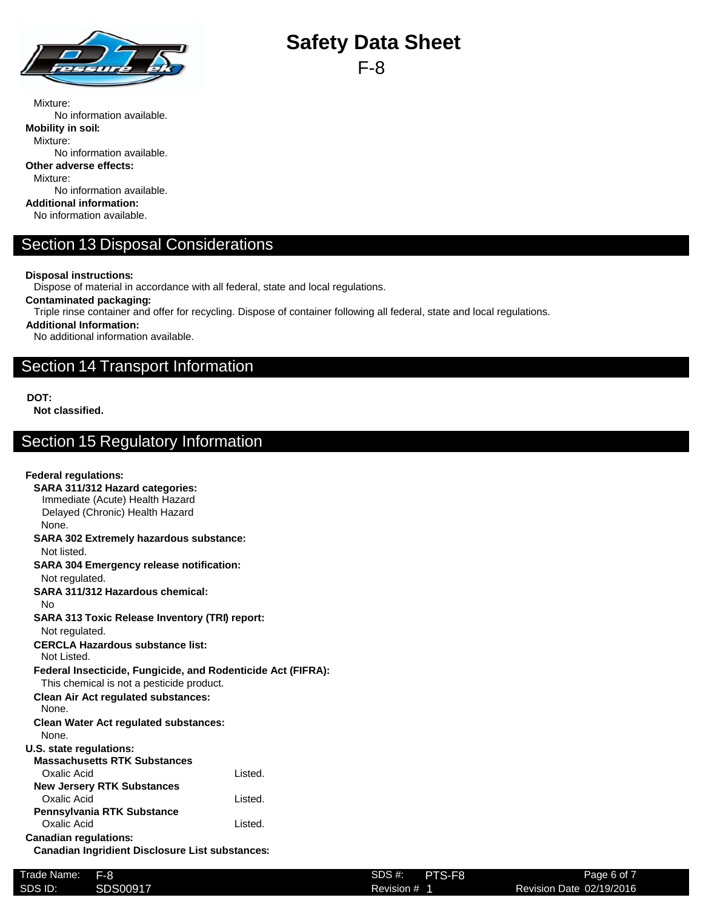

F-8

Mixture: No information available. **Mobility in soil:** Mixture: No information available. **Other adverse effects:** Mixture: No information available. **Additional information:** No information available.

### Section 13 Disposal Considerations

**Disposal instructions:**

Dispose of material in accordance with all federal, state and local regulations.

**Contaminated packaging:**

Triple rinse container and offer for recycling. Dispose of container following all federal, state and local regulations.

**Additional Information:**

No additional information available.

### Section 14 Transport Information

**DOT:**

**Not classified.**

## Section 15 Regulatory Information

#### **Federal regulations: SARA 311/312 Hazard categories:** Immediate (Acute) Health Hazard Delayed (Chronic) Health Hazard None. **SARA 302 Extremely hazardous substance:** Not listed. **SARA 304 Emergency release notification:** Not regulated. **SARA 311/312 Hazardous chemical:** No **SARA 313 Toxic Release Inventory (TRI) report:** Not regulated. **CERCLA Hazardous substance list:** Not Listed. **Federal Insecticide, Fungicide, and Rodenticide Act (FIFRA):** This chemical is not a pesticide product. **Clean Air Act regulated substances:** None. **Clean Water Act regulated substances:** None. **U.S. state regulations: Massachusetts RTK Substances** Oxalic Acid Listed. **New Jersery RTK Substances** Oxalic Acid Listed. **Pennsylvania RTK Substance** Oxalic Acid **Listed. Canadian regulations: Canadian Ingridient Disclosure List substances:**

| Trade Name: | $F-8$    | SDS #:     | PTS-F8 |
|-------------|----------|------------|--------|
| SDS ID:     | SDS00917 | Revision # |        |
|             |          |            |        |